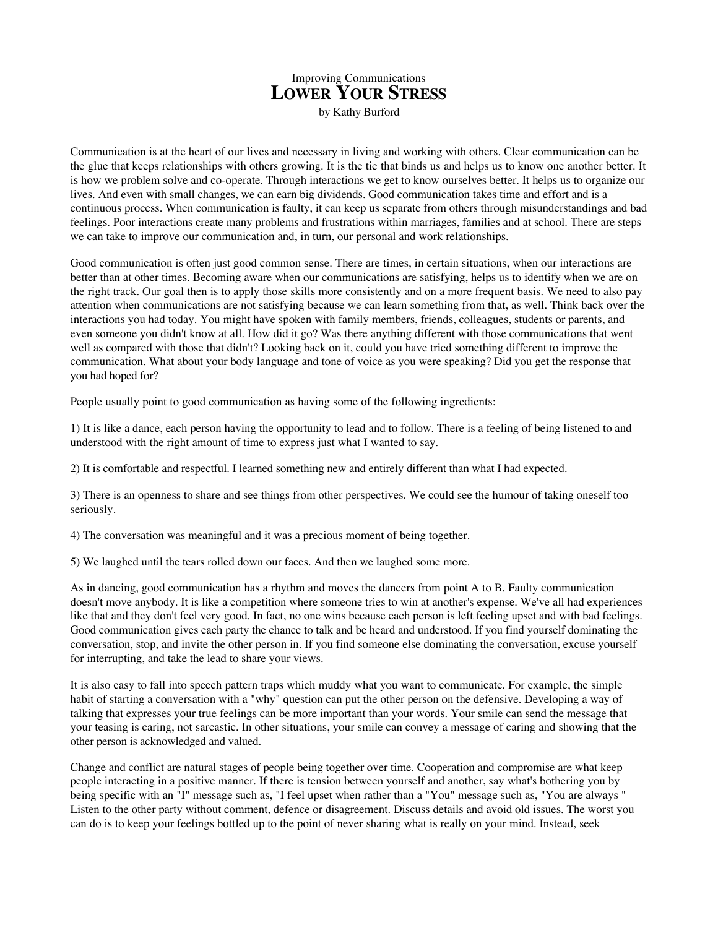## Improving Communications **LOWER YOUR STRESS**

by Kathy Burford

Communication is at the heart of our lives and necessary in living and working with others. Clear communication can be the glue that keeps relationships with others growing. It is the tie that binds us and helps us to know one another better. It is how we problem solve and co-operate. Through interactions we get to know ourselves better. It helps us to organize our lives. And even with small changes, we can earn big dividends. Good communication takes time and effort and is a continuous process. When communication is faulty, it can keep us separate from others through misunderstandings and bad feelings. Poor interactions create many problems and frustrations within marriages, families and at school. There are steps we can take to improve our communication and, in turn, our personal and work relationships.

Good communication is often just good common sense. There are times, in certain situations, when our interactions are better than at other times. Becoming aware when our communications are satisfying, helps us to identify when we are on the right track. Our goal then is to apply those skills more consistently and on a more frequent basis. We need to also pay attention when communications are not satisfying because we can learn something from that, as well. Think back over the interactions you had today. You might have spoken with family members, friends, colleagues, students or parents, and even someone you didn't know at all. How did it go? Was there anything different with those communications that went well as compared with those that didn't? Looking back on it, could you have tried something different to improve the communication. What about your body language and tone of voice as you were speaking? Did you get the response that you had hoped for?

People usually point to good communication as having some of the following ingredients:

1) It is like a dance, each person having the opportunity to lead and to follow. There is a feeling of being listened to and understood with the right amount of time to express just what I wanted to say.

2) It is comfortable and respectful. I learned something new and entirely different than what I had expected.

3) There is an openness to share and see things from other perspectives. We could see the humour of taking oneself too seriously.

4) The conversation was meaningful and it was a precious moment of being together.

5) We laughed until the tears rolled down our faces. And then we laughed some more.

As in dancing, good communication has a rhythm and moves the dancers from point A to B. Faulty communication doesn't move anybody. It is like a competition where someone tries to win at another's expense. We've all had experiences like that and they don't feel very good. In fact, no one wins because each person is left feeling upset and with bad feelings. Good communication gives each party the chance to talk and be heard and understood. If you find yourself dominating the conversation, stop, and invite the other person in. If you find someone else dominating the conversation, excuse yourself for interrupting, and take the lead to share your views.

It is also easy to fall into speech pattern traps which muddy what you want to communicate. For example, the simple habit of starting a conversation with a "why" question can put the other person on the defensive. Developing a way of talking that expresses your true feelings can be more important than your words. Your smile can send the message that your teasing is caring, not sarcastic. In other situations, your smile can convey a message of caring and showing that the other person is acknowledged and valued.

Change and conflict are natural stages of people being together over time. Cooperation and compromise are what keep people interacting in a positive manner. If there is tension between yourself and another, say what's bothering you by being specific with an "I" message such as, "I feel upset when rather than a "You" message such as, "You are always " Listen to the other party without comment, defence or disagreement. Discuss details and avoid old issues. The worst you can do is to keep your feelings bottled up to the point of never sharing what is really on your mind. Instead, seek